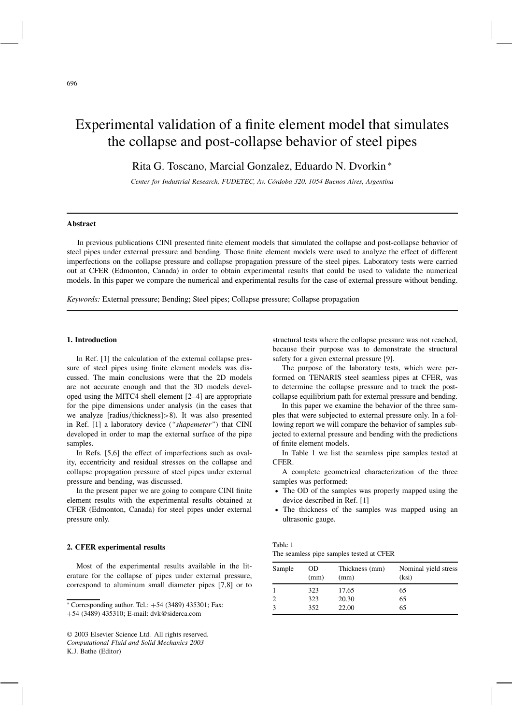# Experimental validation of a finite element model that simulates the collapse and post-collapse behavior of steel pipes

Rita G. Toscano, Marcial Gonzalez, Eduardo N. Dvorkin ∗

*Center for Industrial Research, FUDETEC, Av. Córdoba 320, 1054 Buenos Aires, Argentina*

# **Abstract**

In previous publications CINI presented finite element models that simulated the collapse and post-collapse behavior of steel pipes under external pressure and bending. Those finite element models were used to analyze the effect of different imperfections on the collapse pressure and collapse propagation pressure of the steel pipes. Laboratory tests were carried out at CFER (Edmonton, Canada) in order to obtain experimental results that could be used to validate the numerical models. In this paper we compare the numerical and experimental results for the case of external pressure without bending.

*Keywords:* External pressure; Bending; Steel pipes; Collapse pressure; Collapse propagation

# **1. Introduction**

In Ref. [1] the calculation of the external collapse pressure of steel pipes using finite element models was discussed. The main conclusions were that the 2D models are not accurate enough and that the 3D models developed using the MITC4 shell element [2–4] are appropriate for the pipe dimensions under analysis (in the cases that we analyze [radius/thickness]>8). It was also presented in Ref. [1] a laboratory device (*"shapemeter"*) that CINI developed in order to map the external surface of the pipe samples.

In Refs. [5,6] the effect of imperfections such as ovality, eccentricity and residual stresses on the collapse and collapse propagation pressure of steel pipes under external pressure and bending, was discussed.

In the present paper we are going to compare CINI finite element results with the experimental results obtained at CFER (Edmonton, Canada) for steel pipes under external pressure only.

# **2. CFER experimental results**

Most of the experimental results available in the literature for the collapse of pipes under external pressure, correspond to aluminum small diameter pipes [7,8] or to structural tests where the collapse pressure was not reached, because their purpose was to demonstrate the structural safety for a given external pressure [9].

The purpose of the laboratory tests, which were performed on TENARIS steel seamless pipes at CFER, was to determine the collapse pressure and to track the postcollapse equilibrium path for external pressure and bending.

In this paper we examine the behavior of the three samples that were subjected to external pressure only. In a following report we will compare the behavior of samples subjected to external pressure and bending with the predictions of finite element models.

In Table 1 we list the seamless pipe samples tested at CFER.

A complete geometrical characterization of the three samples was performed:

- The OD of the samples was properly mapped using the device described in Ref. [1]
- The thickness of the samples was mapped using an ultrasonic gauge.

| Table 1                                  |  |  |  |
|------------------------------------------|--|--|--|
| The seamless pipe samples tested at CFER |  |  |  |

| Sample | <b>OD</b><br>(mm) | Thickness (mm)<br>(mm) | Nominal yield stress<br>(ksi) |
|--------|-------------------|------------------------|-------------------------------|
|        | 323               | 17.65                  | 65                            |
|        | 323               | 20.30                  | 65                            |
|        | 352               | 22.00                  | 65                            |

<sup>∗</sup> Corresponding author. Tel.: +54 (3489) 435301; Fax:

<sup>+</sup>54 (3489) 435310; E-mail: dvk@siderca.com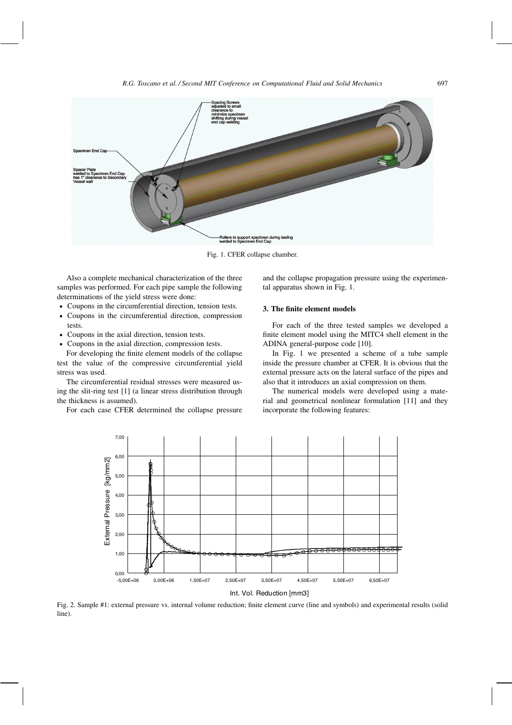

Fig. 1. CFER collapse chamber.

Also a complete mechanical characterization of the three samples was performed. For each pipe sample the following determinations of the yield stress were done:

- Coupons in the circumferential direction, tension tests.
- Coupons in the circumferential direction, compression tests.
- Coupons in the axial direction, tension tests.
- Coupons in the axial direction, compression tests.

For developing the finite element models of the collapse test the value of the compressive circumferential yield stress was used.

The circumferential residual stresses were measured using the slit-ring test [1] (a linear stress distribution through the thickness is assumed).

For each case CFER determined the collapse pressure

and the collapse propagation pressure using the experimental apparatus shown in Fig. 1.

# **3. The finite element models**

For each of the three tested samples we developed a finite element model using the MITC4 shell element in the ADINA general-purpose code [10].

In Fig. 1 we presented a scheme of a tube sample inside the pressure chamber at CFER. It is obvious that the external pressure acts on the lateral surface of the pipes and also that it introduces an axial compression on them.

The numerical models were developed using a material and geometrical nonlinear formulation [11] and they incorporate the following features:



Fig. 2. Sample #1: external pressure vs. internal volume reduction; finite element curve (line and symbols) and experimental results (solid line).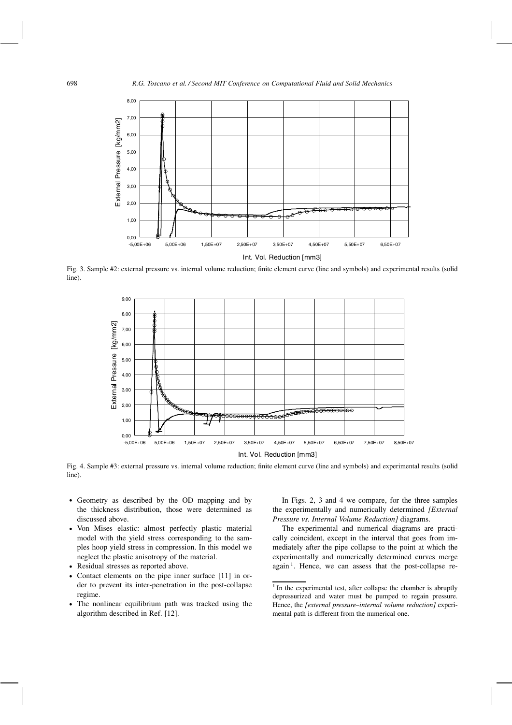

Fig. 3. Sample #2: external pressure vs. internal volume reduction; finite element curve (line and symbols) and experimental results (solid line).



Fig. 4. Sample #3: external pressure vs. internal volume reduction; finite element curve (line and symbols) and experimental results (solid line).

- Geometry as described by the OD mapping and by the thickness distribution, those were determined as discussed above.
- Von Mises elastic: almost perfectly plastic material model with the yield stress corresponding to the samples hoop yield stress in compression. In this model we neglect the plastic anisotropy of the material.
- Residual stresses as reported above.
- Contact elements on the pipe inner surface [11] in order to prevent its inter-penetration in the post-collapse regime.
- The nonlinear equilibrium path was tracked using the algorithm described in Ref. [12].

In Figs. 2, 3 and 4 we compare, for the three samples the experimentally and numerically determined *[External Pressure vs. Internal Volume Reduction]* diagrams.

The experimental and numerical diagrams are practically coincident, except in the interval that goes from immediately after the pipe collapse to the point at which the experimentally and numerically determined curves merge again<sup>1</sup>. Hence, we can assess that the post-collapse re-

<sup>&</sup>lt;sup>1</sup> In the experimental test, after collapse the chamber is abruptly depressurized and water must be pumped to regain pressure. Hence, the *[external pressure–internal volume reduction]* experimental path is different from the numerical one.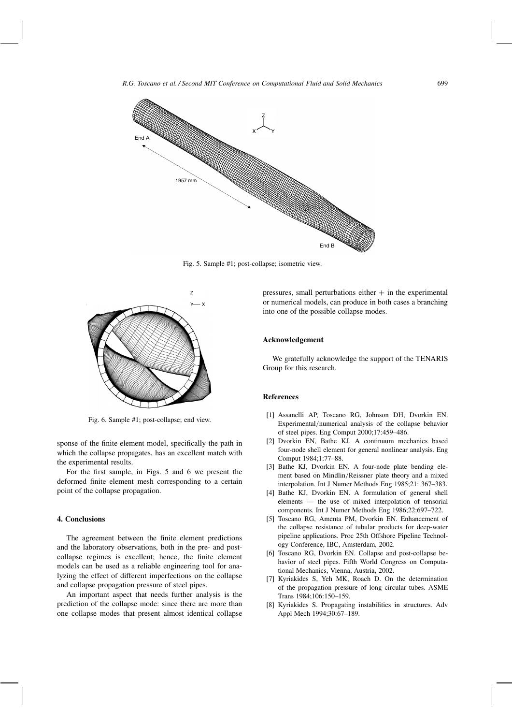

Fig. 5. Sample #1; post-collapse; isometric view.



Fig. 6. Sample #1; post-collapse; end view.

sponse of the finite element model, specifically the path in which the collapse propagates, has an excellent match with the experimental results.

For the first sample, in Figs. 5 and 6 we present the deformed finite element mesh corresponding to a certain point of the collapse propagation.

#### **4. Conclusions**

The agreement between the finite element predictions and the laboratory observations, both in the pre- and postcollapse regimes is excellent; hence, the finite element models can be used as a reliable engineering tool for analyzing the effect of different imperfections on the collapse and collapse propagation pressure of steel pipes.

An important aspect that needs further analysis is the prediction of the collapse mode: since there are more than one collapse modes that present almost identical collapse pressures, small perturbations either  $+$  in the experimental or numerical models, can produce in both cases a branching into one of the possible collapse modes.

#### **Acknowledgement**

We gratefully acknowledge the support of the TENARIS Group for this research.

# **References**

- [1] Assanelli AP, Toscano RG, Johnson DH, Dvorkin EN. Experimental/numerical analysis of the collapse behavior of steel pipes. Eng Comput 2000;17:459–486.
- [2] Dvorkin EN, Bathe KJ. A continuum mechanics based four-node shell element for general nonlinear analysis. Eng Comput 1984;1:77–88.
- [3] Bathe KJ, Dvorkin EN. A four-node plate bending element based on Mindlin/Reissner plate theory and a mixed interpolation. Int J Numer Methods Eng 1985;21: 367–383.
- [4] Bathe KJ, Dvorkin EN. A formulation of general shell elements — the use of mixed interpolation of tensorial components. Int J Numer Methods Eng 1986;22:697–722.
- [5] Toscano RG, Amenta PM, Dvorkin EN. Enhancement of the collapse resistance of tubular products for deep-water pipeline applications. Proc 25th Offshore Pipeline Technology Conference, IBC, Amsterdam, 2002.
- [6] Toscano RG, Dvorkin EN. Collapse and post-collapse behavior of steel pipes. Fifth World Congress on Computational Mechanics, Vienna, Austria, 2002.
- [7] Kyriakides S, Yeh MK, Roach D. On the determination of the propagation pressure of long circular tubes. ASME Trans 1984;106:150–159.
- [8] Kyriakides S. Propagating instabilities in structures. Adv Appl Mech 1994;30:67–189.